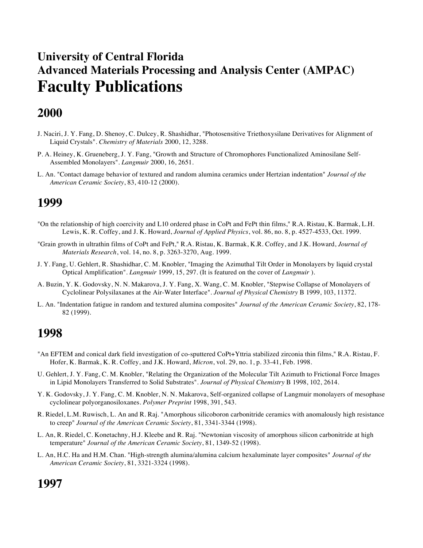# **University of Central Florida Advanced Materials Processing and Analysis Center (AMPAC) Faculty Publications**

# **2000**

- J. Naciri, J. Y. Fang, D. Shenoy, C. Dulcey, R. Shashidhar, "Photosensitive Triethoxysilane Derivatives for Alignment of Liquid Crystals". *Chemistry of Materials* 2000, 12, 3288.
- P. A. Heiney, K. Grueneberg, J. Y. Fang, "Growth and Structure of Chromophores Functionalized Aminosilane Self-Assembled Monolayers". *Langmuir* 2000, 16, 2651.
- L. An. "Contact damage behavior of textured and random alumina ceramics under Hertzian indentation" *Journal of the American Ceramic Society*, 83, 410-12 (2000).

## **1999**

- "On the relationship of high coercivity and L10 ordered phase in CoPt and FePt thin films," R.A. Ristau, K. Barmak, L.H. Lewis, K. R. Coffey, and J. K. Howard, *Journal of Applied Physics*, vol. 86, no. 8, p. 4527-4533, Oct. 1999.
- "Grain growth in ultrathin films of CoPt and FePt," R.A. Ristau, K. Barmak, K.R. Coffey, and J.K. Howard, *Journal of Materials Research*, vol. 14, no. 8, p. 3263-3270, Aug. 1999.
- J. Y. Fang, U. Gehlert, R. Shashidhar, C. M. Knobler, "Imaging the Azimuthal Tilt Order in Monolayers by liquid crystal Optical Amplification". *Langmuir* 1999, 15, 297. (It is featured on the cover of *Langmuir* ).
- A. Buzin, Y. K. Godovsky, N. N. Makarova, J. Y. Fang, X. Wang, C. M. Knobler, "Stepwise Collapse of Monolayers of Cyclolinear Polysilaxanes at the Air-Water Interface". *Journal of Physical Chemistry* B 1999, 103, 11372.
- L. An. "Indentation fatigue in random and textured alumina composites" *Journal of the American Ceramic Society*, 82, 178- 82 (1999).

## **1998**

- "An EFTEM and conical dark field investigation of co-sputtered CoPt+Yttria stabilized zirconia thin films," R.A. Ristau, F. Hofer, K. Barmak, K. R. Coffey, and J.K. Howard, *Micron*, vol. 29, no. 1, p. 33-41, Feb. 1998.
- U. Gehlert, J. Y. Fang, C. M. Knobler, "Relating the Organization of the Molecular Tilt Azimuth to Frictional Force Images in Lipid Monolayers Transferred to Solid Substrates". *Journal of Physical Chemistry* B 1998, 102, 2614.
- Y. K. Godovsky, J. Y. Fang, C. M. Knobler, N. N. Makarova, Self-organized collapse of Langmuir monolayers of mesophase cyclolinear polyorganosiloxanes. *Polymer Preprint* 1998, 391, 543.
- R. Riedel, L.M. Ruwisch, L. An and R. Raj. "Amorphous silicoboron carbonitride ceramics with anomalously high resistance to creep" *Journal of the American Ceramic Society*, 81, 3341-3344 (1998).
- L. An, R. Riedel, C. Konetachny, H.J. Kleebe and R. Raj. "Newtonian viscosity of amorphous silicon carbonitride at high temperature" *Journal of the American Ceramic Society*, 81, 1349-52 (1998).
- L. An, H.C. Ha and H.M. Chan. "High-strength alumina/alumina calcium hexaluminate layer composites" *Journal of the American Ceramic Society*, 81, 3321-3324 (1998).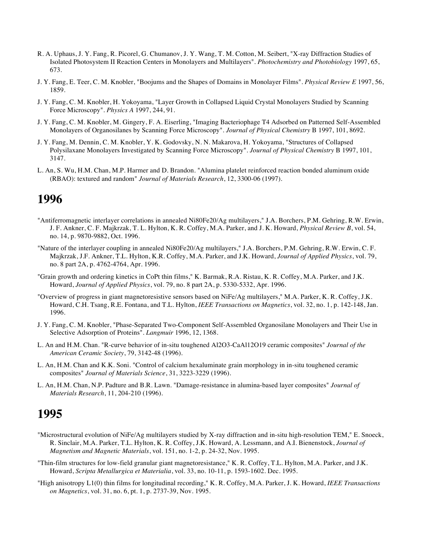- R. A. Uphaus, J. Y. Fang, R. Picorel, G. Chumanov, J. Y. Wang, T. M. Cotton, M. Seibert, "X-ray Diffraction Studies of Isolated Photosystem II Reaction Centers in Monolayers and Multilayers". *Photochemistry and Photobiology* 1997, 65, 673.
- J. Y. Fang, E. Teer, C. M. Knobler, "Boojums and the Shapes of Domains in Monolayer Films". *Physical Review E* 1997, 56, 1859.
- J. Y. Fang, C. M. Knobler, H. Yokoyama, "Layer Growth in Collapsed Liquid Crystal Monolayers Studied by Scanning Force Microscopy". *Physics A* 1997, 244, 91.
- J. Y. Fang, C. M. Knobler, M. Gingery, F. A. Eiserling, "Imaging Bacteriophage T4 Adsorbed on Patterned Self-Assembled Monolayers of Organosilanes by Scanning Force Microscopy". *Journal of Physical Chemistry* B 1997, 101, 8692.
- J. Y. Fang, M. Dennin, C. M. Knobler, Y. K. Godovsky, N. N. Makarova, H. Yokoyama, "Structures of Collapsed Polysilaxane Monolayers Investigated by Scanning Force Microscopy". *Journal of Physical Chemistry* B 1997, 101, 3147.
- L. An, S. Wu, H.M. Chan, M.P. Harmer and D. Brandon. "Alumina platelet reinforced reaction bonded aluminum oxide (RBAO): textured and random" *Journal of Materials Research*, 12, 3300-06 (1997).

- "Antiferromagnetic interlayer correlations in annealed Ni80Fe20/Ag multilayers," J.A. Borchers, P.M. Gehring, R.W. Erwin, J. F. Ankner, C. F. Majkrzak, T. L. Hylton, K. R. Coffey, M.A. Parker, and J. K. Howard, *Physical Review B*, vol. 54, no. 14, p. 9870-9882, Oct. 1996.
- "Nature of the interlayer coupling in annealed Ni80Fe20/Ag multilayers," J.A. Borchers, P.M. Gehring, R.W. Erwin, C. F. Majkrzak, J.F. Ankner, T.L. Hylton, K.R. Coffey, M.A. Parker, and J.K. Howard, *Journal of Applied Physics*, vol. 79, no. 8 part 2A, p. 4762-4764, Apr. 1996.
- "Grain growth and ordering kinetics in CoPt thin films," K. Barmak, R.A. Ristau, K. R. Coffey, M.A. Parker, and J.K. Howard, *Journal of Applied Physics*, vol. 79, no. 8 part 2A, p. 5330-5332, Apr. 1996.
- "Overview of progress in giant magnetoresistive sensors based on NiFe/Ag multilayers," M.A. Parker, K. R. Coffey, J.K. Howard, C.H. Tsang, R.E. Fontana, and T.L. Hylton, *IEEE Transactions on Magnetics*, vol. 32, no. 1, p. 142-148, Jan. 1996.
- J. Y. Fang, C. M. Knobler, "Phase-Separated Two-Component Self-Assembled Organosilane Monolayers and Their Use in Selective Adsorption of Proteins". *Langmuir* 1996, 12, 1368.
- L. An and H.M. Chan. "R-curve behavior of in-situ toughened Al2O3-CaAl12O19 ceramic composites" *Journal of the American Ceramic Society*, 79, 3142-48 (1996).
- L. An, H.M. Chan and K.K. Soni. "Control of calcium hexaluminate grain morphology in in-situ toughened ceramic composites" *Journal of Materials Science*, 31, 3223-3229 (1996).
- L. An, H.M. Chan, N.P. Padture and B.R. Lawn. "Damage-resistance in alumina-based layer composites" *Journal of Materials Research*, 11, 204-210 (1996).

- "Microstructural evolution of NiFe/Ag multilayers studied by X-ray diffraction and in-situ high-resolution TEM," E. Snoeck, R. Sinclair, M.A. Parker, T.L. Hylton, K. R. Coffey, J.K. Howard, A. Lessmann, and A.I. Bienenstock, *Journal of Magnetism and Magnetic Materials*, vol. 151, no. 1-2, p. 24-32, Nov. 1995.
- "Thin-film structures for low-field granular giant magnetoresistance," K. R. Coffey, T.L. Hylton, M.A. Parker, and J.K. Howard, *Scripta Metallurgica et Materialia*, vol. 33, no. 10-11, p. 1593-1602. Dec. 1995.
- "High anisotropy L1(0) thin films for longitudinal recording," K. R. Coffey, M.A. Parker, J. K. Howard, *IEEE Transactions on Magnetics*, vol. 31, no. 6, pt. 1, p. 2737-39, Nov. 1995.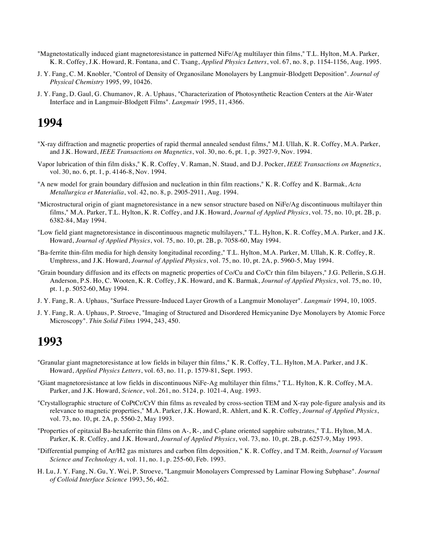- "Magnetostatically induced giant magnetoresistance in patterned NiFe/Ag multilayer thin films," T.L. Hylton, M.A. Parker, K. R. Coffey, J.K. Howard, R. Fontana, and C. Tsang, *Applied Physics Letters*, vol. 67, no. 8, p. 1154-1156, Aug. 1995.
- J. Y. Fang, C. M. Knobler, "Control of Density of Organosilane Monolayers by Langmuir-Blodgett Deposition". *Journal of Physical Chemistry* 1995, 99, 10426.
- J. Y. Fang, D. Gaul, G. Chumanov, R. A. Uphaus, "Characterization of Photosynthetic Reaction Centers at the Air-Water Interface and in Langmuir-Blodgett Films". *Langmuir* 1995, 11, 4366.

- "X-ray diffraction and magnetic properties of rapid thermal annealed sendust films," M.I. Ullah, K. R. Coffey, M.A. Parker, and J.K. Howard, *IEEE Transactions on Magnetics*, vol. 30, no. 6, pt. 1, p. 3927-9, Nov. 1994.
- Vapor lubrication of thin film disks," K. R. Coffey, V. Raman, N. Staud, and D.J. Pocker, *IEEE Transactions on Magnetics*, vol. 30, no. 6, pt. 1, p. 4146-8, Nov. 1994.
- "A new model for grain boundary diffusion and nucleation in thin film reactions," K. R. Coffey and K. Barmak, *Acta Metallurgica et Materialia*, vol. 42, no. 8, p. 2905-2911, Aug. 1994.
- "Microstructural origin of giant magnetoresistance in a new sensor structure based on NiFe/Ag discontinuous multilayer thin films," M.A. Parker, T.L. Hylton, K. R. Coffey, and J.K. Howard, *Journal of Applied Physics*, vol. 75, no. 10, pt. 2B, p. 6382-84, May 1994.
- "Low field giant magnetoresistance in discontinuous magnetic multilayers," T.L. Hylton, K. R. Coffey, M.A. Parker, and J.K. Howard, *Journal of Applied Physics*, vol. 75, no. 10, pt. 2B, p. 7058-60, May 1994.
- "Ba-ferrite thin-film media for high density longitudinal recording," T.L. Hylton, M.A. Parker, M. Ullah, K. R. Coffey, R. Umphress, and J.K. Howard, *Journal of Applied Physics*, vol. 75, no. 10, pt. 2A, p. 5960-5, May 1994.
- "Grain boundary diffusion and its effects on magnetic properties of Co/Cu and Co/Cr thin film bilayers," J.G. Pellerin, S.G.H. Anderson, P.S. Ho, C. Wooten, K. R. Coffey, J.K. Howard, and K. Barmak, *Journal of Applied Physics*, vol. 75, no. 10, pt. 1, p. 5052-60, May 1994.
- J. Y. Fang, R. A. Uphaus, "Surface Pressure-Induced Layer Growth of a Langmuir Monolayer". *Langmuir* 1994, 10, 1005.
- J. Y. Fang, R. A. Uphaus, P. Stroeve, "Imaging of Structured and Disordered Hemicyanine Dye Monolayers by Atomic Force Microscopy". *Thin Solid Films* 1994, 243, 450.

- "Granular giant magnetoresistance at low fields in bilayer thin films," K. R. Coffey, T.L. Hylton, M.A. Parker, and J.K. Howard, *Applied Physics Letters*, vol. 63, no. 11, p. 1579-81, Sept. 1993.
- "Giant magnetoresistance at low fields in discontinuous NiFe-Ag multilayer thin films," T.L. Hylton, K. R. Coffey, M.A. Parker, and J.K. Howard, *Science*, vol. 261, no. 5124, p. 1021-4, Aug. 1993.
- "Crystallographic structure of CoPtCr/CrV thin films as revealed by cross-section TEM and X-ray pole-figure analysis and its relevance to magnetic properties," M.A. Parker, J.K. Howard, R. Ahlert, and K. R. Coffey, *Journal of Applied Physics*, vol. 73, no. 10, pt. 2A, p. 5560-2, May 1993.
- "Properties of epitaxial Ba-hexaferrite thin films on A-, R-, and C-plane oriented sapphire substrates," T.L. Hylton, M.A. Parker, K. R. Coffey, and J.K. Howard, *Journal of Applied Physics*, vol. 73, no. 10, pt. 2B, p. 6257-9, May 1993.
- "Differential pumping of Ar/H2 gas mixtures and carbon film deposition," K. R. Coffey, and T.M. Reith, *Journal of Vacuum Science and Technology A*, vol. 11, no. 1, p. 255-60, Feb. 1993.
- H. Lu, J. Y. Fang, N. Gu, Y. Wei, P. Stroeve, "Langmuir Monolayers Compressed by Laminar Flowing Subphase". *Journal of Colloid Interface Science* 1993, 56, 462.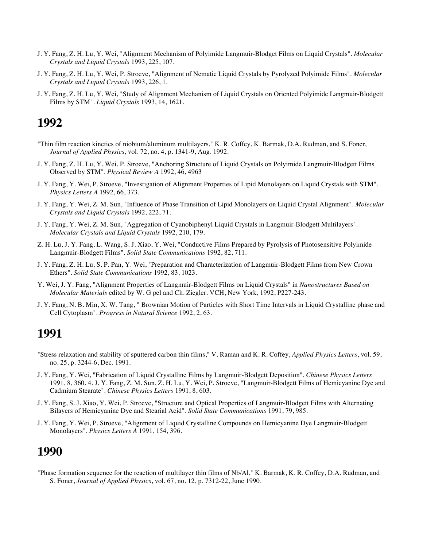- J. Y. Fang, Z. H. Lu, Y. Wei, "Alignment Mechanism of Polyimide Langmuir-Blodget Films on Liquid Crystals". *Molecular Crystals and Liquid Crystals* 1993, 225, 107.
- J. Y. Fang, Z. H. Lu, Y. Wei, P. Stroeve, "Alignment of Nematic Liquid Crystals by Pyrolyzed Polyimide Films". *Molecular Crystals and Liquid Crystals* 1993, 226, 1.
- J. Y. Fang, Z. H. Lu, Y. Wei, "Study of Alignment Mechanism of Liquid Crystals on Oriented Polyimide Langmuir-Blodgett Films by STM". *Liquid Crystals* 1993, 14, 1621.

- "Thin film reaction kinetics of niobium/aluminum multilayers," K. R. Coffey, K. Barmak, D.A. Rudman, and S. Foner, *Journal of Applied Physics*, vol. 72, no. 4, p. 1341-9, Aug. 1992.
- J. Y. Fang, Z. H. Lu, Y. Wei, P. Stroeve, "Anchoring Structure of Liquid Crystals on Polyimide Langmuir-Blodgett Films Observed by STM". *Physical Review A* 1992, 46, 4963
- J. Y. Fang, Y. Wei, P. Stroeve, "Investigation of Alignment Properties of Lipid Monolayers on Liquid Crystals with STM". *Physics Letters A* 1992, 66, 373.
- J. Y. Fang, Y. Wei, Z. M. Sun, "Influence of Phase Transition of Lipid Monolayers on Liquid Crystal Alignment". *Molecular Crystals and Liquid Crystals* 1992, 222, 71.
- J. Y. Fang, Y. Wei, Z. M. Sun, "Aggregation of Cyanobiphenyl Liquid Crystals in Langmuir-Blodgett Multilayers". *Molecular Crystals and Liquid Crystals* 1992, 210, 179.
- Z. H. Lu, J. Y. Fang, L. Wang, S. J. Xiao, Y. Wei, "Conductive Films Prepared by Pyrolysis of Photosensitive Polyimide Langmuir-Blodgett Films". *Solid State Communications* 1992, 82, 711.
- J. Y. Fang, Z. H. Lu, S. P. Pan, Y. Wei, "Preparation and Characterization of Langmuir-Blodgett Films from New Crown Ethers". *Solid State Communications* 1992, 83, 1023.
- Y. Wei, J. Y. Fang, "Alignment Properties of Langmuir-Blodgett Films on Liquid Crystals" in *Nanostructures Based on Molecular Materials* edited by W. G pel and Ch. Ziegler. VCH, New York, 1992, P227-243.
- J. Y. Fang, N. B. Min, X. W. Tang, " Brownian Motion of Particles with Short Time Intervals in Liquid Crystalline phase and Cell Cytoplasm". *Progress in Natural Science* 1992, 2, 63.

# **1991**

- "Stress relaxation and stability of sputtered carbon thin films," V. Raman and K. R. Coffey, *Applied Physics Letters*, vol. 59, no. 25, p. 3244-6, Dec. 1991.
- J. Y. Fang, Y. Wei, "Fabrication of Liquid Crystalline Films by Langmuir-Blodgett Deposition". *Chinese Physics Letters* 1991, 8, 360. 4. J. Y. Fang, Z. M. Sun, Z. H. Lu, Y. Wei, P. Stroeve, "Langmuir-Blodgett Films of Hemicyanine Dye and Cadmium Stearate". *Chinese Physics Letters* 1991, 8, 603.
- J. Y. Fang, S. J. Xiao, Y. Wei, P. Stroeve, "Structure and Optical Properties of Langmuir-Blodgett Films with Alternating Bilayers of Hemicyanine Dye and Stearial Acid". *Solid State Communications* 1991, 79, 985.
- J. Y. Fang, Y. Wei, P. Stroeve, "Alignment of Liquid Crystalline Compounds on Hemicyanine Dye Langmuir-Blodgett Monolayers". *Physics Letters A* 1991, 154, 396.

#### **1990**

"Phase formation sequence for the reaction of multilayer thin films of Nb/Al," K. Barmak, K. R. Coffey, D.A. Rudman, and S. Foner, *Journal of Applied Physics*, vol. 67, no. 12, p. 7312-22, June 1990.